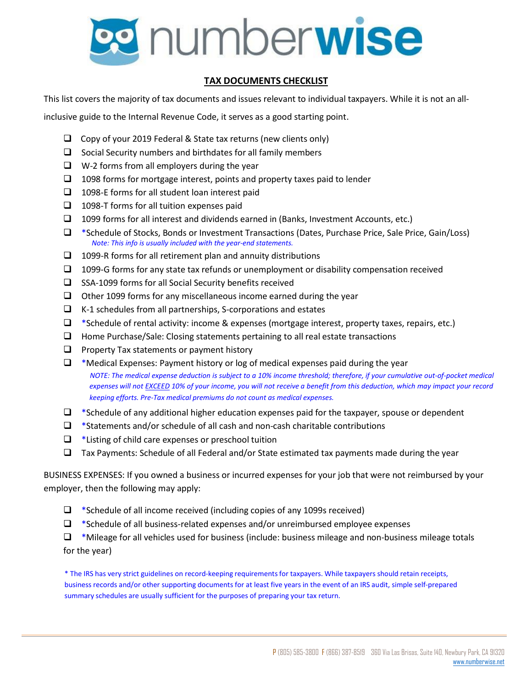

## **TAX DOCUMENTS CHECKLIST**

This list covers the majority of tax documents and issues relevant to individual taxpayers. While it is not an all-

inclusive guide to the Internal Revenue Code, it serves as a good starting point.

- $\Box$  Copy of your 2019 Federal & State tax returns (new clients only)
- $\Box$  Social Security numbers and birthdates for all family members
- $\Box$  W-2 forms from all employers during the year
- $\Box$  1098 forms for mortgage interest, points and property taxes paid to lender
- $\Box$  1098-E forms for all student loan interest paid
- $\Box$  1098-T forms for all tuition expenses paid
- $\Box$  1099 forms for all interest and dividends earned in (Banks, Investment Accounts, etc.)
- \*Schedule of Stocks, Bonds or Investment Transactions (Dates, Purchase Price, Sale Price, Gain/Loss) *Note: This info is usually included with the year-end statements.*
- $\Box$  1099-R forms for all retirement plan and annuity distributions
- $\Box$  1099-G forms for any state tax refunds or unemployment or disability compensation received
- $\square$  SSA-1099 forms for all Social Security benefits received
- $\Box$  Other 1099 forms for any miscellaneous income earned during the year
- $\Box$  K-1 schedules from all partnerships, S-corporations and estates
- □ \*Schedule of rental activity: income & expenses (mortgage interest, property taxes, repairs, etc.)
- $\Box$  Home Purchase/Sale: Closing statements pertaining to all real estate transactions
- $\Box$  Property Tax statements or payment history
- $\Box$  \*Medical Expenses: Payment history or log of medical expenses paid during the year NOTE: The medical expense deduction is subject to a 10% income threshold; therefore, if your cumulative out-of-pocket medical expenses will not **EXCEED** 10% of your income, you will not receive a benefit from this deduction, which may impact your record *keeping efforts. Pre-Tax medical premiums do not count as medical expenses.*
- $\Box$  \*Schedule of any additional higher education expenses paid for the taxpayer, spouse or dependent
- $\Box$  \*Statements and/or schedule of all cash and non-cash charitable contributions
- $\Box$  \*Listing of child care expenses or preschool tuition
- $\Box$  Tax Payments: Schedule of all Federal and/or State estimated tax payments made during the year

BUSINESS EXPENSES: If you owned a business or incurred expenses for your job that were not reimbursed by your employer, then the following may apply:

- $\Box$  \*Schedule of all income received (including copies of any 1099s received)
- $\Box$  \*Schedule of all business-related expenses and/or unreimbursed employee expenses

 $\Box$  \*Mileage for all vehicles used for business (include: business mileage and non-business mileage totals for the year)

\* The IRS has very strict guidelines on record-keeping requirementsfor taxpayers. While taxpayers should retain receipts, business records and/or other supporting documents for at least five years in the event of an IRS audit, simple self-prepared summary schedules are usually sufficient for the purposes of preparing your tax return.